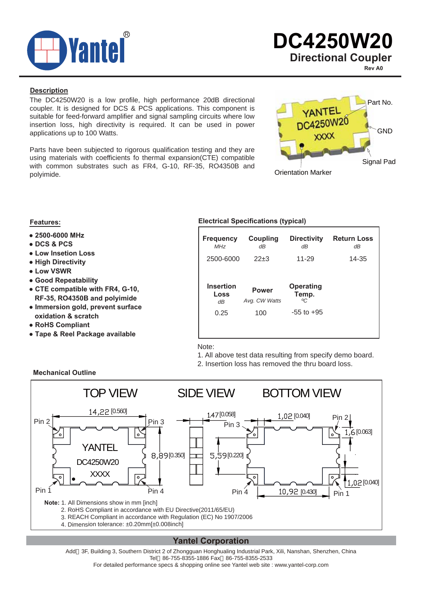

**Rev A0**

#### **Description**

The DC4250W20 is a low profile, high performance 20dB directional coupler. It is designed for DCS & PCS applications. This component is suitable for feed-forward amplifier and signal sampling circuits where low insertion loss, high directivity is required. It can be used in power applications up to 100 Watts.

Parts have been subjected to rigorous qualification testing and they are using materials with coefficients fo thermal expansion(CTE) compatible with common substrates such as FR4, G-10, RF-35, RO4350B and polyimide.



- **● 2500-6000 MHz**
- **● DCS & PCS**
- **● Low Insetion Loss**
- **● High Directivity**
- **● Low VSWR**
- **● Good Repeatability**
- **● CTE compatible with FR4, G-10, RF-35, RO4350B and polyimide**
- **● Immersion gold, prevent surface oxidation & scratch**
- **● RoHS Compliant**
- **● Tape & Reel Package available**

#### **Features: Electrical Specifications (typical)**

| <b>Frequency</b><br>M <sub>Hz</sub> | Coupling<br>dΒ                | <b>Directivity</b><br>dΒ       | <b>Return Loss</b><br>dΒ |
|-------------------------------------|-------------------------------|--------------------------------|--------------------------|
| 2500-6000                           | $22+3$                        | 11-29                          | 14-35                    |
| <b>Insertion</b>                    |                               |                                |                          |
| Loss<br>dΒ                          | <b>Power</b><br>Avg. CW Watts | <b>Operating</b><br>Temp.<br>℃ |                          |

Note:

- 1. All above test data resulting from specify demo board.
- 2. Insertion loss has removed the thru board loss.



### **Yantel Corporation**

Add 3F, Building 3, Southern District 2 of Zhongguan Honghualing Industrial Park, Xili, Nanshan, Shenzhen, China Tel 86-755-8355-1886 Fax 86-755-8355-2533

For detailed performance specs & shopping online see Yantel web site : www.yantel-corp.com

#### **Mechanical Outline**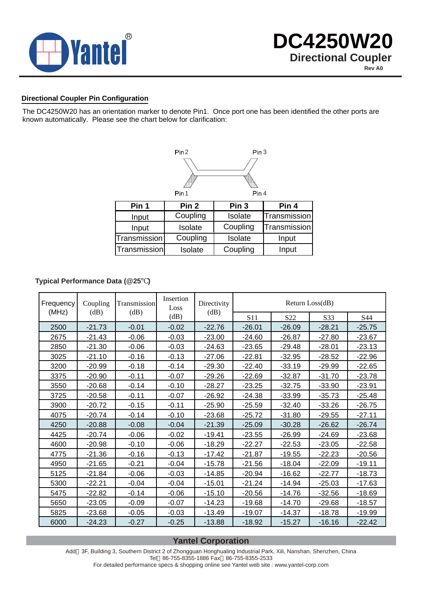

#### **Directional Coupler Pin Configuration**

The DC4250W20 has an orientation marker to denote Pin1. Once port one has been identified the other ports are known automatically. Please see the chart below for clarification:



#### **Typical Performance Data (@25 )**

| Frequency | Coupling | Transmission | Insertion<br>Loss | Directivity | Return Loss(dB) |                 |          |          |  |
|-----------|----------|--------------|-------------------|-------------|-----------------|-----------------|----------|----------|--|
| (MHz)     | (dB)     | (dB)         | (dB)              | (dB)        | S11             | S <sub>22</sub> | S33      | S44      |  |
| 2500      | $-21.73$ | $-0.01$      | $-0.02$           | $-22.76$    | $-26.01$        | $-26.09$        | $-28.21$ | $-25.75$ |  |
| 2675      | $-21.43$ | $-0.06$      | $-0.03$           | $-23.00$    | $-24.60$        | $-26.87$        | $-27.80$ | $-23.67$ |  |
| 2850      | $-21.30$ | $-0.06$      | $-0.03$           | $-24.63$    | $-23.65$        | $-29.48$        | $-28.01$ | $-23.13$ |  |
| 3025      | $-21.10$ | $-0.16$      | $-0.13$           | $-27.06$    | $-22.81$        | $-32.95$        | $-28.52$ | $-22.96$ |  |
| 3200      | $-20.99$ | $-0.18$      | $-0.14$           | $-29.30$    | $-22.40$        | $-33.19$        | $-29.99$ | $-22.65$ |  |
| 3375      | $-20.90$ | $-0.11$      | $-0.07$           | $-29.26$    | $-22.69$        | $-32.87$        | $-31.70$ | $-23.78$ |  |
| 3550      | $-20.68$ | $-0.14$      | $-0.10$           | $-28.27$    | $-23.25$        | $-32.75$        | $-33.90$ | $-23.91$ |  |
| 3725      | $-20.58$ | $-0.11$      | $-0.07$           | $-26.92$    | $-24.38$        | $-33.99$        | $-35.73$ | $-25.48$ |  |
| 3900      | $-20.72$ | $-0.15$      | $-0.11$           | $-25.90$    | $-25.59$        | $-32.40$        | $-33.26$ | $-26.75$ |  |
| 4075      | $-20.74$ | $-0.14$      | $-0.10$           | $-23.68$    | $-25.72$        | $-31.80$        | $-29.55$ | $-27.11$ |  |
| 4250      | $-20.88$ | $-0.08$      | $-0.04$           | $-21.39$    | $-25.09$        | $-30.28$        | $-26.62$ | $-26.74$ |  |
| 4425      | $-20.74$ | $-0.06$      | $-0.02$           | $-19.41$    | $-23.55$        | $-26.99$        | $-24.69$ | $-23.68$ |  |
| 4600      | $-20.98$ | $-0.10$      | $-0.06$           | $-18.29$    | $-22.27$        | $-22.53$        | $-23.05$ | $-22.58$ |  |
| 4775      | $-21.36$ | $-0.16$      | $-0.13$           | $-17.42$    | $-21.87$        | $-19.55$        | $-22.23$ | $-20.56$ |  |
| 4950      | $-21.65$ | $-0.21$      | $-0.04$           | $-15.78$    | $-21.56$        | $-18.04$        | $-22.09$ | $-19.11$ |  |
| 5125      | $-21.84$ | $-0.06$      | $-0.03$           | $-14.85$    | $-20.94$        | $-16.62$        | $-22.77$ | $-18.73$ |  |
| 5300      | $-22.21$ | $-0.04$      | $-0.04$           | $-15.01$    | $-21.24$        | $-14.94$        | $-25.03$ | $-17.63$ |  |
| 5475      | $-22.82$ | $-0.14$      | $-0.06$           | $-15.10$    | $-20.56$        | $-14.76$        | $-32.56$ | $-18.69$ |  |
| 5650      | $-23.05$ | $-0.09$      | $-0.07$           | $-14.23$    | $-19.68$        | $-14.70$        | $-29.68$ | $-18.57$ |  |
| 5825      | $-23.68$ | $-0.05$      | $-0.03$           | $-13.49$    | $-19.07$        | $-14.37$        | $-18.78$ | $-19.99$ |  |
| 6000      | $-24.23$ | $-0.27$      | $-0.25$           | $-13.88$    | $-18.92$        | $-15.27$        | $-16.16$ | $-22.42$ |  |

### **Yantel Corporation**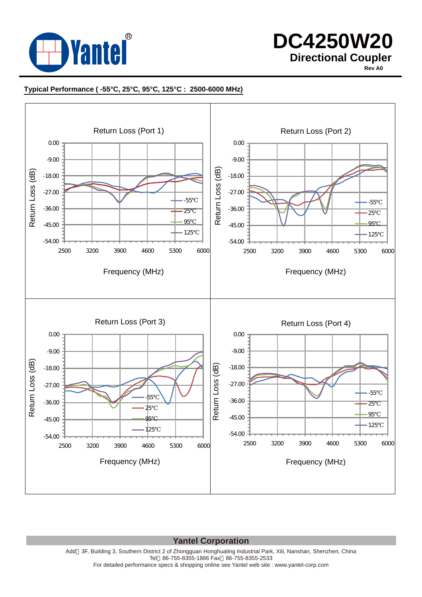

# **DC4250W20 Directional Coupler**

**Rev A0**

### **Typical Performance ( -55°C, 25°C, 95°C, 125°C : 2500-6000 MHz)**



#### **Yantel Corporation**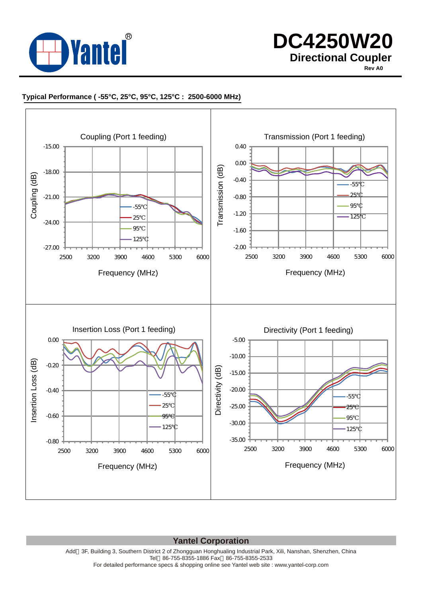

# **DC4250W20 Directional Coupler**

**Rev A0**

#### **Typical Performance ( -55°C, 25°C, 95°C, 125°C : 2500-6000 MHz)**



**Yantel Corporation**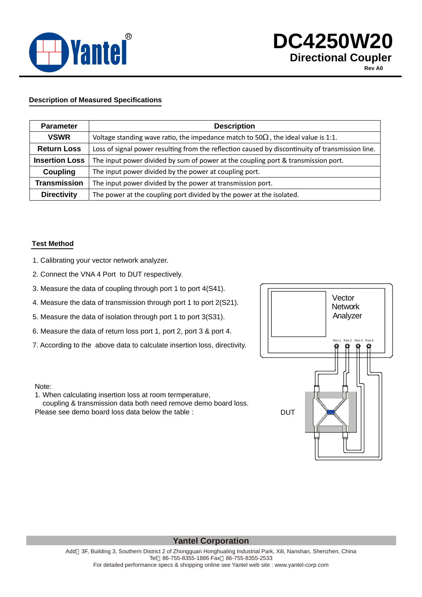

#### **Description of Measured Specifications**

| <b>Parameter</b>      | <b>Description</b>                                                                               |
|-----------------------|--------------------------------------------------------------------------------------------------|
| <b>VSWR</b>           | Voltage standing wave ratio, the impedance match to 50<br>the ideal value is 1:1.                |
| <b>Return Loss</b>    | Loss of signal power resulting from the reflection caused by discontinuity of transmission line. |
| <b>Insertion Loss</b> | The input power divided by sum of power at the coupling port & transmission port.                |
| Coupling              | The input power divided by the power at coupling port.                                           |
| <b>Transmission</b>   | The input power divided by the power at transmission port.                                       |
| <b>Directivity</b>    | The power at the coupling port divided by the power at the isolated.                             |

#### **Test Method**

- 1. Calibrating your vector network analyzer.
- 2. Connect the VNA 4 Port to DUT respectively.
- 3. Measure the data of coupling through port 1 to port 4(S41).
- 4. Measure the data of transmission through port 1 to port 2(S21).
- 5. Measure the data of isolation through port 1 to port 3(S31).
- 6. Measure the data of return loss port 1, port 2, port 3 & port 4.
- 7. According to the above data to calculate insertion loss, directivity.

#### Note:

1. When calculating insertion loss at room termperature,

 coupling & transmission data both need remove demo board loss. Please see demo board loss data below the table :



### **Yantel Corporation**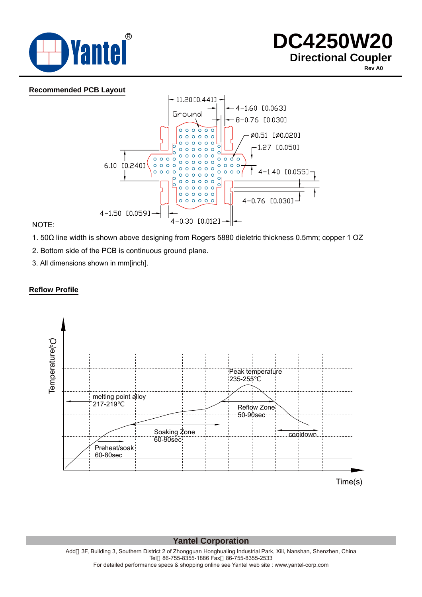

#### **Recommended PCB Layout**



NOTE:

- 1. 50Ω line width is shown above designing from Rogers 5880 dieletric thickness 0.5mm; copper 1 OZ
- 2. Bottom side of the PCB is continuous ground plane.
- 3. All dimensions shown in mm[inch].

#### **Reflow Profile**



**Yantel Corporation**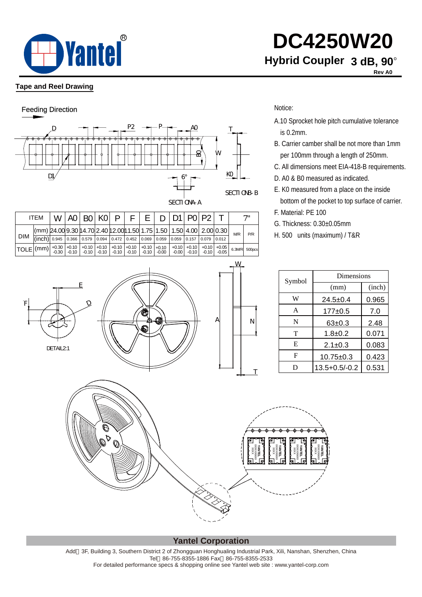

### **Tape and Reel Drawing**

F



|                                                                                                                                                                                                                                                                                                                                                                                                                                        | <b>ITEM</b>                                                                  | W I | $AO$ BO $KO$ P |  |  | D   D1   P0   P2 |  |       |                |     |
|----------------------------------------------------------------------------------------------------------------------------------------------------------------------------------------------------------------------------------------------------------------------------------------------------------------------------------------------------------------------------------------------------------------------------------------|------------------------------------------------------------------------------|-----|----------------|--|--|------------------|--|-------|----------------|-----|
|                                                                                                                                                                                                                                                                                                                                                                                                                                        | $\vert$ (mm) 24.00 9.30 14.70 2.40 12.00 11.50 1.75 1.50 1.50 4.00 2.00 0.30 |     |                |  |  |                  |  |       | W <sub>R</sub> | P/R |
| <b>DIM</b>                                                                                                                                                                                                                                                                                                                                                                                                                             | (inch) 0.945 0.366 0.579 0.094 0.472 0.452 0.069 0.059 0.059 0.157 0.079     |     |                |  |  |                  |  | 0.012 |                |     |
| $\text{\textcolor{red}{\big  TOLE}}\left  \text{(mm)} \right \text{+0.30}\left \text{+0.10}\right \text{+0.10}\left \text{+0.10}\right \text{+0.10}\left \text{+0.10}\right \text{+0.10}\left \text{+0.10}\right \text{+0.10}\left \text{+0.10}\right \text{+0.10}\left \text{+0.10}\right \text{+0.10}\left \text{+0.10}\right \text{+0.10}\left \text{+0.10}\right \text{+0.10}\left \text{+0.10}\right \text{+0.10}\left \text{+0.$ |                                                                              |     |                |  |  |                  |  |       |                |     |

A.10 Sprocket hole pitch cumulative tolerance is 0.2mm.

**DC4250W20**

**Hybrid Coupler 3 dB, 90°** 

**Rev A0**

- B. Carrier camber shall be not more than 1mm
- C. All dimensions meet EIA-418-B requirements.
- D. A0 & B0 measured as indicated.
- E. K0 measured from a place on the inside

bottom of the pocket to top surface of carrier.

- G. Thickness: 0.30±0.05mm
- H. 500 units (maximum) / T&R

|                                                                 |                   |                           | Dimensions         |        |
|-----------------------------------------------------------------|-------------------|---------------------------|--------------------|--------|
| E                                                               |                   | Symbol                    | (mm)               | (inch) |
| $\mathcal{Q}$                                                   |                   | $\ensuremath{\text{W}}$   | $24.5 + 0.4$       | 0.965  |
| Ó                                                               |                   | $\boldsymbol{\mathsf{A}}$ | $177 + 0.5$        | 7.0    |
| æ                                                               | Α<br>$\mathsf{N}$ | ${\bf N}$                 | $63 + 0.3$         | 2.48   |
| €                                                               |                   | $\mathbf T$               | $1.8 + 0.2$        | 0.071  |
| DETAIL2:1                                                       |                   | ${\bf E}$                 | $2.1 \pm 0.3$      | 0.083  |
|                                                                 |                   | ${\bf F}$                 | $10.75 \pm 0.3$    | 0.423  |
|                                                                 | T                 | ${\bf D}$                 | $13.5 + 0.5/- 0.2$ | 0.531  |
| $\Theta$<br>$\mathcal{P}_{\bigotimes_{\mathcal{F}}\mathcal{P}}$ | P<br>ы<br>ы       | lЫ<br>И<br>P.             |                    |        |

**Yantel Corporation**

Add 3F, Building 3, Southern District 2 of Zhongguan Honghualing Industrial Park, Xili, Nanshan, Shenzhen, China Tel 86-755-8355-1886 Fax 86-755-8355-2533 For detailed performance specs & shopping online see Yantel web site : www.yantel-corp.com

## Notice:

W

- - per 100mm through a length of 250mm.
	-
	-
	-

F. Material: PE 100

- 
-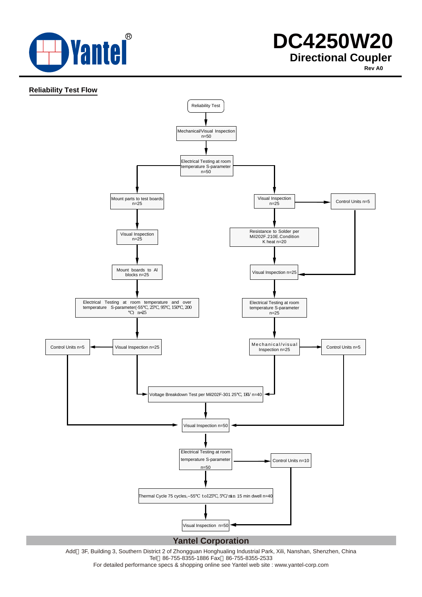

**Rev A0**

#### **Reliability Test Flow**



Add 3F, Building 3, Southern District 2 of Zhongguan Honghualing Industrial Park, Xili, Nanshan, Shenzhen, China Tel 86-755-8355-1886 Fax 86-755-8355-2533

For detailed performance specs & shopping online see Yantel web site : www.yantel-corp.com